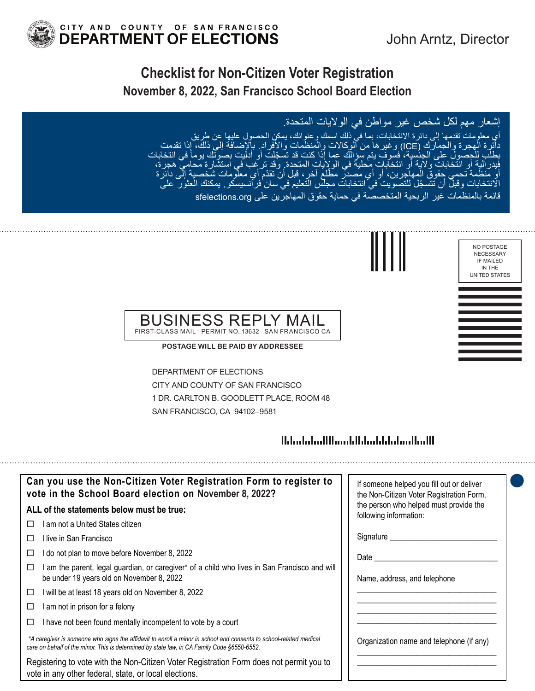

# **Checklist for Non-Citizen Voter Registration November 8, 2022, San Francisco School Board Election**

## إشعار مهم لكل شخص غير مواطن في الواليات المتحدة.

أي معلومات تقدمها إلى دائرة االنتخابات، بما في ذلك اسمك وعنوانك، يمكن الحصول عليها عن طريق دائرة الهجرة والجمارك (ICE) وغيرها من الوكالات والمنظمات والأفراد. بالإضافة إلى ذلك، إذا تقدمت َ في انتخابات بطلب للحصول على الجنسية، فسوف يتم سؤالك عما إذا كنت قد تسجّلت أو أدليت بصوتك يوماً في انتخاباً<br>فيدر الية أو انتخابات ولاية أو انتخابات محلية في الولايات المتحدة ٍ وقد ترغب في استشارة محامي هجرة، أوّ منظّمة تحمي حقوق المهاجرين، أو أي مُصدّر مطّلع آخر، قبل أنّ تقدّم أي معلومات شخصية إلى دائرة ّ االنتخابات وقبل أن تتسجل للتصويت في انتخابات مجلس التعليم في سان فرانسيسكو. يمكنك العثور على

نظمات غير الربحية المتخصصة في حماية حقوق المهاجرين على sfelections.org



#### NECESSARY IF MAILED IN THE UNITED STATES

NO POSTAGE

#### BUSINESS REPI FIRST-CLASS MAIL PERMIT NO. 13632 SAN FRANCISCO CA

**POSTAGE WILL BE PAID BY ADDRESSEE**

DEPARTMENT OF ELECTIONS CITY AND COUNTY OF SAN FRANCISCO 1 DR. CARLTON B. GOODLETT PLACE, ROOM 48 SAN FRANCISCO, CA 94102–9581

## <u> Ministratiflum blidaddialam Madl</u>

| Can you use the Non-Citizen Voter Registration Form to register to<br>vote in the School Board election on November 8, 2022?                                                                                      | If someone helped you fill out or deliver<br>the Non-Citizen Voter Registration Form, |
|-------------------------------------------------------------------------------------------------------------------------------------------------------------------------------------------------------------------|---------------------------------------------------------------------------------------|
| ALL of the statements below must be true:                                                                                                                                                                         | the person who helped must provide the<br>following information:                      |
| ∣ am not a United States citizen<br>$\perp$                                                                                                                                                                       |                                                                                       |
| l live in San Francisco                                                                                                                                                                                           | Signature ________                                                                    |
| do not plan to move before November 8, 2022<br>ப                                                                                                                                                                  | Date $\_\_$                                                                           |
| am the parent, legal guardian, or caregiver* of a child who lives in San Francisco and will<br>be under 19 years old on November 8, 2022                                                                          | Name, address, and telephone                                                          |
| will be at least 18 years old on November 8, 2022<br>□                                                                                                                                                            |                                                                                       |
| am not in prison for a felony<br>⊔                                                                                                                                                                                |                                                                                       |
| I have not been found mentally incompetent to vote by a court<br>ப                                                                                                                                                |                                                                                       |
| *A caregiver is someone who signs the affidavit to enroll a minor in school and consents to school-related medical<br>care on behalf of the minor. This is determined by state law, in CA Family Code §6550-6552. | Organization name and telephone (if any)                                              |
| Registering to vote with the Non-Citizen Voter Registration Form does not permit you to<br>vote in any other federal, state, or local elections.                                                                  |                                                                                       |